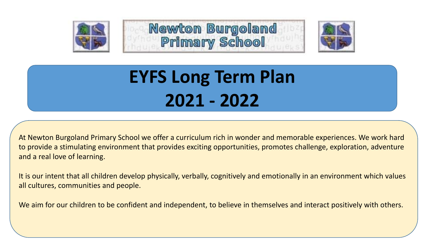





# **EYFS Long Term Plan 2021 - 2022**

At Newton Burgoland Primary School we offer a curriculum rich in wonder and memorable experiences. We work hard to provide a stimulating environment that provides exciting opportunities, promotes challenge, exploration, adventure and a real love of learning.

It is our intent that all children develop physically, verbally, cognitively and emotionally in an environment which values all cultures, communities and people.

We aim for our children to be confident and independent, to believe in themselves and interact positively with others.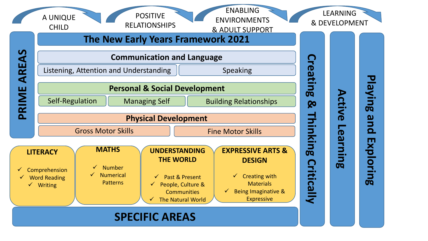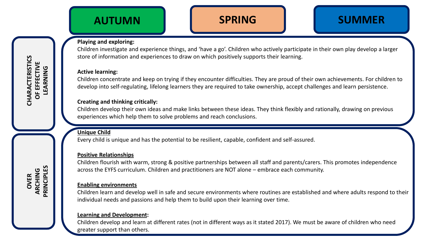# **SPRING SUMMER**

### **Playing and exploring:**

Children investigate and experience things, and 'have a go'. Children who actively participate in their own play develop a larger store of information and experiences to draw on which positively supports their learning.

### **Active learning:**

**CHARACTERISTICS OF EFFECTIVE LEARNING**

CHARACTERISTICS

**OVER**

**ARCHING PRINCIPLES**

Children concentrate and keep on trying if they encounter difficulties. They are proud of their own achievements. For children to develop into self-regulating, lifelong learners they are required to take ownership, accept challenges and learn persistence.

### **Creating and thinking critically:**

Children develop their own ideas and make links between these ideas. They think flexibly and rationally, drawing on previous experiences which help them to solve problems and reach conclusions.

### **Unique Child**

Every child is unique and has the potential to be resilient, capable, confident and self-assured.

### **Positive Relationships**

Children flourish with warm, strong & positive partnerships between all staff and parents/carers. This promotes independence across the EYFS curriculum. Children and practitioners are NOT alone – embrace each community.

### **Enabling environments**

Children learn and develop well in safe and secure environments where routines are established and where adults respond to their individual needs and passions and help them to build upon their learning over time.

### **Learning and Development:**

Children develop and learn at different rates (not in different ways as it stated 2017). We must be aware of children who need greater support than others.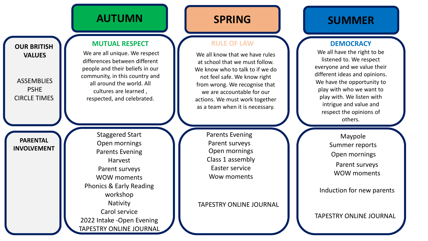

### **RULE OF LAW**

We all know that we have rules at school that we must follow. We know who to talk to if we do not feel safe. We know right from wrong. We recognise that we are accountable for our actions. We must work together as a team when it is necessary.

> Parents Evening Parent surveys Open mornings Class 1 assembly Easter service Wow moments

TAPESTRY ONLINE JOURNAL

# **SPRING SUMMER**

### **DEMOCRACY**

We all have the right to be listened to. We respect everyone and we value their different ideas and opinions. We have the opportunity to play with who we want to play with. We listen with intrigue and value and respect the opinions of others.

> Maypole Summer reports Open mornings Parent surveys WOW moments

Induction for new parents

TAPESTRY ONLINE JOURNAL

**PARENTAL INVOLVEMENT**

**OUR BRITISH**

**VALUES**

ASSEMBLIES PSHE CIRCLE TIMES **MUTUAL RESPECT**

We are all unique. We respect differences between different people and their beliefs in our community, in this country and all around the world. All cultures are learned , respected, and celebrated.

Staggered Start Open mornings Parents Evening Harvest Parent surveys WOW moments Phonics & Early Reading workshop Nativity Carol service 2022 Intake -Open Evening TAPESTRY ONLINE JOURNAL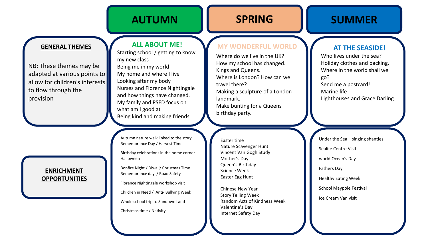### AUTUMN **AUTUMN**

## **SPRING SUMMER**

### **GENERAL THEMES**

NB: These themes may be adapted at various points to allow for children's interests to flow through the provision

### **ENRICHMENT OPPORTUNITIES**

### **ALL ABOUT ME!**

Starting school / getting to know my new class Being me in my world My home and where I live Looking after my body Nurses and Florence Nightingale and how things have changed. My family and PSED focus on what am I good at Being kind and making friends

Autumn nature walk linked to the story Remembrance Day / Harvest Time

Birthday celebrations in the home corner Halloween

Bonfire Night / Diwali/ Christmas Time Remembrance day / Road Safety

Florence Nightingale workshop visit

Children in Need / Anti- Bullying Week

Whole school trip to Sundown Land

Christmas time / Nativity

### **MY WONDERFUL WORLD**

Where do we live in the UK? How my school has changed. Kings and Queens. Where is London? How can we travel there? Making a sculpture of a London landmark. Make bunting for a Queens birthday party.

### Easter time Nature Scavenger Hunt Vincent Van Gogh Study Mother's Day Queen's Birthday Science Week Easter Egg Hunt

Chinese New Year Story Telling Week Random Acts of Kindness Week Valentine's Day Internet Safety Day

### **AT THE SEASIDE!**

Who lives under the sea? Holiday clothes and packing. Where in the world shall we go? Send me a postcard! Marine life Lighthouses and Grace Darling

Under the Sea – singing shanties Sealife Centre Visit world Ocean's Day Fathers Day Healthy Eating Week School Maypole Festival Ice Cream Van visit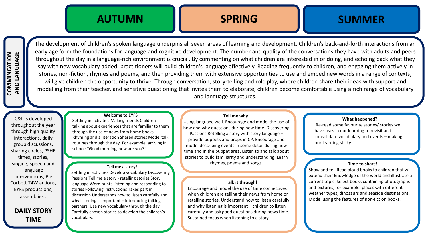

# **SPRING SUMMER**

The development of children's spoken language underpins all seven areas of learning and development. Children's back-and-forth interactions from an early age form the foundations for language and cognitive development. The number and quality of the conversations they have with adults and peers throughout the day in a language-rich environment is crucial. By commenting on what children are interested in or doing, and echoing back what they say with new vocabulary added, practitioners will build children's language effectively. Reading frequently to children, and engaging them actively in stories, non-fiction, rhymes and poems, and then providing them with extensive opportunities to use and embed new words in a range of contexts, will give children the opportunity to thrive. Through conversation, story-telling and role play, where children share their ideas with support and modelling from their teacher, and sensitive questioning that invites them to elaborate, children become comfortable using a rich range of vocabulary and language structures.

### **Welcome to EYFS**

C&L is developed throughout the year through high quality interactions, daily group discussions, sharing circles, PSHE times, stories, singing, speech and language interventions, Pie Corbett T4W actions, EYFS productions, assemblies .

**DAILY STORY TIME** 

Settling in activities Making friends Children talking about experiences that are familiar to them through the use of news from home books. Rhyming and alliteration Shared stories Model talk routines through the day. For example, arriving in school: "Good morning, how are you?"

### **Tell me a story!**

Settling in activities Develop vocabulary Discovering Passions Tell me a story - retelling stories Story language Word hunts Listening and responding to stories Following instructions Takes part in discussion Understands how to listen carefully and why listening is important – introducing talking partners. Use new vocabulary through the day. Carefully chosen stories to develop the children's vocabulary.

**Tell me why!**  Using language well. Encourage and model the use of how and why questions during new time. Discovering Passions Retelling a story with story language – provide puppets and props in CP. Encourage and model describing events in some detail during new time and in the puppet area. Listen to and talk about stories to build familiarity and understanding. Learn rhymes, poems and songs.

### **Talk it through!**

Encourage and model the use of time connectives when children are telling their news from home or retelling stories. Understand how to listen carefully and why listening is important – children to listen carefully and ask good questions during news time. Sustained focus when listening to a story

### **What happened?**

Re-read some favourite stories/ stories we have uses in our learning to revisit and consolidate vocabulary and events – making our learning sticky!

### **Time to share!**

Show and tell Read aloud books to children that will extend their knowledge of the world and illustrate a current topic. Select books containing photographs and pictures, for example, places with different weather types, dinosaurs and seaside destinations. Model using the features of non-fiction books.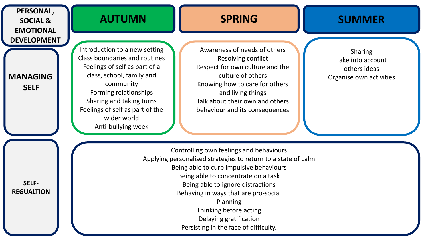| PERSONAL,<br><b>SOCIAL &amp;</b><br><b>EMOTIONAL</b> | <b>AUTUMN</b>                                                                                                                                                                                                                                                                                                                           | <b>SPRING</b>                                                                                                                                                                                                                          | <b>SUMMER</b>                                                                  |  |  |  |  |
|------------------------------------------------------|-----------------------------------------------------------------------------------------------------------------------------------------------------------------------------------------------------------------------------------------------------------------------------------------------------------------------------------------|----------------------------------------------------------------------------------------------------------------------------------------------------------------------------------------------------------------------------------------|--------------------------------------------------------------------------------|--|--|--|--|
| <b>DEVELOPMENT</b><br><b>MANAGING</b><br><b>SELF</b> | Introduction to a new setting<br><b>Class boundaries and routines</b><br>Feelings of self as part of a<br>class, school, family and<br>community<br>Forming relationships<br>Sharing and taking turns<br>Feelings of self as part of the<br>wider world<br>Anti-bullying week                                                           | Awareness of needs of others<br>Resolving conflict<br>Respect for own culture and the<br>culture of others<br>Knowing how to care for others<br>and living things<br>Talk about their own and others<br>behaviour and its consequences | <b>Sharing</b><br>Take into account<br>others ideas<br>Organise own activities |  |  |  |  |
| <b>SELF-</b><br><b>REGUALTION</b>                    | Controlling own feelings and behaviours<br>Applying personalised strategies to return to a state of calm<br>Being able to curb impulsive behaviours<br>Being able to concentrate on a task<br>Being able to ignore distractions<br>Behaving in ways that are pro-social<br>Planning<br>Thinking before acting<br>Delaying gratification |                                                                                                                                                                                                                                        |                                                                                |  |  |  |  |

Persisting in the face of difficulty.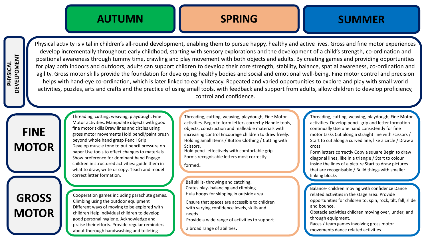

# **SPRING SUMMER**

Physical activity is vital in children's all-round development, enabling them to pursue happy, healthy and active lives. Gross and fine motor experiences develop incrementally throughout early childhood, starting with sensory explorations and the development of a child's strength, co-ordination and positional awareness through tummy time, crawling and play movement with both objects and adults. By creating games and providing opportunities for play both indoors and outdoors, adults can support children to develop their core strength, stability, balance, spatial awareness, co-ordination and agility. Gross motor skills provide the foundation for developing healthy bodies and social and emotional well-being. Fine motor control and precision helps with hand-eye co-ordination, which is later linked to early literacy. Repeated and varied opportunities to explore and play with small world activities, puzzles, arts and crafts and the practice of using small tools, with feedback and support from adults, allow children to develop proficiency, control and confidence.

# **GROSS MOTOR**

**FINE**

**MOTOR**

Threading, cutting, weaving, playdough, Fine Motor activities. Manipulate objects with good fine motor skills Draw lines and circles using gross motor movements Hold pencil/paint brush beyond whole hand grasp Pencil Grip Develop muscle tone to put pencil pressure on paper Use tools to effect changes to materials Show preference for dominant hand Engage children in structured activities: guide them in what to draw, write or copy. Teach and model correct letter formation.

Cooperation games including parachute games. Climbing using the outdoor equipment Different ways of moving to be explored with children Help individual children to develop good personal hygiene. Acknowledge and praise their efforts. Provide regular reminders about thorough handwashing and toileting

Threading, cutting, weaving, playdough, Fine Motor activities. Begin to form letters correctly Handle tools, objects, construction and malleable materials with increasing control Encourage children to draw freely. Holding Small Items / Button Clothing / Cutting with Scissors.

Hold pencil effectively with comfortable grip Forms recognisable letters most correctly

formed.

Ball skills- throwing and catching. Crates play- balancing and climbing. Hula hoops for skipping in outside area

Ensure that spaces are accessible to children with varying confidence levels, skills and needs.

Provide a wide range of activities to support

a broad range of abilities.

Threading, cutting, weaving, playdough, Fine Motor activities. Develop pencil grip and letter formation continually Use one hand consistently for fine motor tasks Cut along a straight line with scissors / Start to cut along a curved line, like a circle / Draw a cross.

Form letters correctly Copy a square Begin to draw diagonal lines, like in a triangle / Start to colour inside the lines of a picture Start to draw pictures that are recognisable / Build things with smaller linking blocks

Balance- children moving with related activities in the stage area. Provide confidence Dance related activities opportunities for children to, spin, rock, tilt, fall, slide Balance- children moving with confidence Dance and bounce.

and bounce.<br>Obstacle activities children moving over, under, and through equipment.<br>
through equipment.

Races / team games involving gross motor<br>movements dance related activities. Races / team games involving gross motor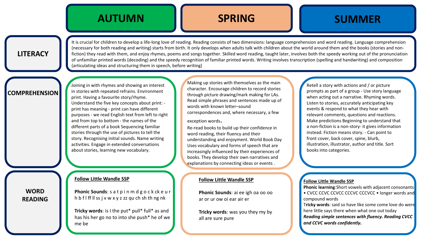# **SPRING SUMMER**

### **LITERACY**

It is crucial for children to develop a life-long love of reading. Reading consists of two dimensions: language comprehension and word reading. Language comprehension (necessary for both reading and writing) starts from birth. It only develops when adults talk with children about the world around them and the books (stories and nonfiction) they read with them, and enjoy rhymes, poems and songs together. Skilled word reading, taught later, involves both the speedy working out of the pronunciation of unfamiliar printed words (decoding) and the speedy recognition of familiar printed words. Writing involves transcription (spelling and handwriting) and composition (articulating ideas and structuring them in speech, before writing)

### **COMPREHENSION**

**WORD READING** Joining in with rhymes and showing an interest in stories with repeated refrains. Environment print. Having a favourite story/rhyme. Understand the five key concepts about print: print has meaning - print can have different purposes - we read English text from left to right and from top to bottom - the names of the different parts of a book Sequencing familiar stories through the use of pictures to tell the story. Recognising initial sounds. Name writing activities. Engage in extended conversations about stories, learning new vocabulary.

### **Follow Little Wandle SSP**

**Phonic Sounds**: s a t p i n m d g o c k ck e u r h b f l ff ll ss j v w x y z zz qu ch sh th ng nk

**Tricky words:** is I the put\* pull\* full\* as and has his her go no to into she push\* he of we me be

Making up stories with themselves as the main character. Encourage children to record stories through picture drawing/mark making for LAs. Read simple phrases and sentences made up of words with known letter–sound correspondences and, where necessary, a few

### exception words.

Re-read books to build up their confidence in word reading, their fluency and their understanding and enjoyment. World Book Day Uses vocabulary and forms of speech that are increasingly influenced by their experiences of books. They develop their own narratives and explanations by connecting ideas or events .

### **Follow Little Wandle SSP**

**Phonic Sounds**: ai ee igh oa oo oo ar or ur ow oi ear air er

**Tricky words**: was you they my by all are sure pure

Retell a story with actions and / or picture prompts as part of a group - Use story language when acting out a narrative. Rhyming words. Listen to stories, accurately anticipating key events & respond to what they hear with relevant comments, questions and reactions. Make predictions Beginning to understand that a non-fiction is a non-story- it gives information instead. Fiction means story. - Can point to front cover, back cover, spine, blurb, illustration, illustrator, author and title. Sort books into categories.

### **Follow Little Wandle SSP**

**Phonic learning**:Short vowels with adjacent consonants • CVCC CCVC CCVCC CCCVC CCCVCC • longer words and compound words

T**ricky words**: said so have like some come love do were here little says there when what one out today *Reading simple sentences with fluency. Reading CVCC and CCVC words confidently.*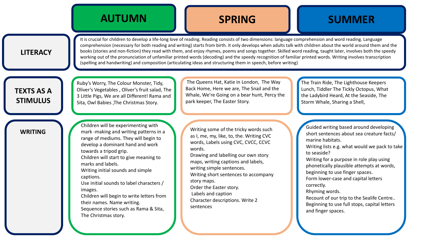# **AUTUMN SPRING SUMMER**

### **LITERACY**

It is crucial for children to develop a life-long love of reading. Reading consists of two dimensions: language comprehension and word reading. Language comprehension (necessary for both reading and writing) starts from birth. It only develops when adults talk with children about the world around them and the books (stories and non-fiction) they read with them, and enjoy rhymes, poems and songs together. Skilled word reading, taught later, involves both the speedy working out of the pronunciation of unfamiliar printed words (decoding) and the speedy recognition of familiar printed words. Writing involves transcription (spelling and handwriting) and composition (articulating ideas and structuring them in speech, before writing)

### **TEXTS AS A STIMULUS**

Ruby's Worry, The Colour Monster, Tidy, Oliver's Vegetables , Oliver's fruit salad, The 3 Little Pigs, We are all Different! Rama and Sita, Owl Babies ,The Christmas Story.

The Queens Hat, Katie in London, The Way Back Home, Here we are, The Snail and the Whale, We're Going on a bear hunt, Percy the park keeper, The Easter Story.

The Train Ride, The Lighthouse Keepers Lunch, Tiddler The Tickly Octopus, What the Ladybird Heard, At the Seaside, The Storm Whale, Sharing a Shell,

### **WRITING**

Children will be experimenting with mark -making and writing patterns in a range of mediums. They will begin to develop a dominant hand and work towards a tripod grip. Children will start to give meaning to marks and labels. Writing initial sounds and simple captions. Use initial sounds to label characters / images. Children will begin to write letters from their names. Name writing. Sequence stories such as Rama & Sita, The Christmas story.

Writing some of the tricky words such as I, me, my, like, to, the. Writing CVC words, Labels using CVC, CVCC, CCVC words.

Drawing and labelling our own story maps, writing captions and labels, writing simple sentences.

Writing short sentences to accompany story maps.

Order the Easter story.

Labels and caption

Character descriptions. Write 2 sentences

Guided writing based around developing short sentences about sea creature facts/ marine habitats. Writing lists e.g. what would we pack to take to seaside? Writing for a purpose in role play using phonetically plausible attempts at words, beginning to use finger spaces. Form lower-case and capital letters correctly. Rhyming words.

Recount of our trip to the Sealife Centre.. Beginning to use full stops, capital letters and finger spaces.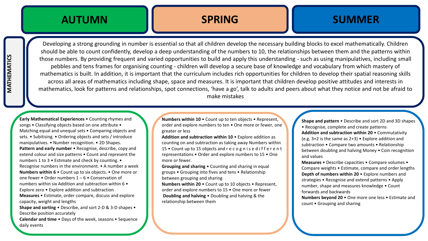# **SPRING SUMMER**

Developing a strong grounding in number is essential so that all children develop the necessary building blocks to excel mathematically. Children should be able to count confidently, develop a deep understanding of the numbers to 10, the relationships between them and the patterns within those numbers. By providing frequent and varied opportunities to build and apply this understanding - such as using manipulatives, including small pebbles and tens frames for organising counting - children will develop a secure base of knowledge and vocabulary from which mastery of mathematics is built. In addition, it is important that the curriculum includes rich opportunities for children to develop their spatial reasoning skills across all areas of mathematics including shape, space and measures. It is important that children develop positive attitudes and interests in mathematics, look for patterns and relationships, spot connections, 'have a go', talk to adults and peers about what they notice and not be afraid to make mistakes

**Early Mathematical Experiences** • Counting rhymes and songs • Classifying objects based on one attribute • Matching equal and unequal sets • Comparing objects and sets. • Subitising. • Ordering objects and sets / introduce manipulatives. • Number recognition. • 2D Shapes. **Pattern and early number** • Recognise, describe, copy and extend colour and size patterns • Count and represent the numbers 1 to 3 • Estimate and check by counting. • Recognise numbers in the environment. • A number a week **Numbers within 6** • Count up to six objects. • One more or one fewer • Order numbers 1 – 6 • Conservation of numbers within six Addition and subtraction within 6 • Explore zero • Explore addition and subtraction **Measures** • Estimate, order compare, discuss and explore capacity, weight and lengths **Shape and sorting** • Describe, and sort 2-D & 3-D shapes • Describe position accurately

**Calendar and time** • Days of the week, seasons • Sequence daily events

**Numbers within 10** • Count up to ten objects • Represent, order and explore numbers to ten • One more or fewer, one greater or less

**Addition and subtraction within 10** • Explore addition as counting on and subtraction as taking away Numbers within 15 • Count up to 15 objects and recognised ifferent representations • Order and explore numbers to 15 • One more or fewer.

**Grouping and sharing** • Counting and sharing in equal groups • Grouping into fives and tens • Relationship between grouping and sharing

**Numbers within 20** • Count up to 10 objects • Represent, order and explore numbers to 15 • One more or fewer **Doubling and halving** • Doubling and halving & the relationship between them

**Shape and pattern** • Describe and sort 2D and 3D shapes • Recognise, complete and create patterns **Addition and subtraction within 20** • Commutativity (e.g. 3+2 is the same as 2+3) • Explore addition and subtraction • Compare two amounts • Relationship between doubling and halving Money • Coin recognition and values

**Measures** • Describe capacities • Compare volumes • Compare weights • Estimate, compare and order lengths **Depth of numbers within 20** • Explore numbers and strategies • Recognise and extend patterns • Apply number, shape and measures knowledge • Count forwards and backwards

**Numbers beyond 20** • One more one less • Estimate and count • Grouping and sharing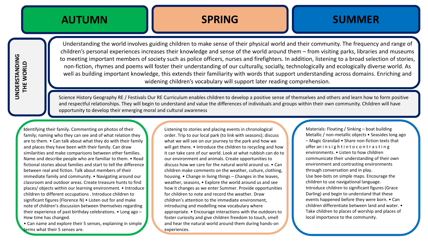# **AUTUMN SPRING SUMMER**

Understanding the world involves guiding children to make sense of their physical world and their community. The frequency and range of children's personal experiences increases their knowledge and sense of the world around them – from visiting parks, libraries and museums to meeting important members of society such as police officers, nurses and firefighters. In addition, listening to a broad selection of stories, non-fiction, rhymes and poems will foster their understanding of our culturally, socially, technologically and ecologically diverse world. As well as building important knowledge, this extends their familiarity with words that support understanding across domains. Enriching and widening children's vocabulary will support later reading comprehension.

Science History Geography RE / Festivals Our RE Curriculum enables children to develop a positive sense of themselves and others and learn how to form positive and respectful relationships. They will begin to understand and value the differences of individuals and groups within their own community. Children will have opportunity to develop their emerging moral and cultural awareness

**I**dentifying their family. Commenting on photos of their family; naming who they can see and of what relation they are to them. • Can talk about what they do with their family and places they have been with their family. Can draw similarities and make comparisons between other families. Name and describe people who are familiar to them. • Read fictional stories about families and start to tell the difference between real and fiction. Talk about members of their immediate family and community. • Navigating around our classroom and outdoor areas. Create treasure hunts to find places/ objects within our learning environment. • Introduce children to different occupations . Introduce children to significant figures (Florence N) • Listen out for and make note of children's discussion between themselves regarding their experience of past birthday celebrations. • Long ago – How time has changed.

• Can name and explore their 5 senses, explaining in simple terms what their 5 senses are.

Listening to stories and placing events in chronological order. Trip to our local park (to link with seasons); discuss what we will see on our journey to the park and how we will get there. • Introduce the children to recycling and how it can take care of our world. Look at what rubbish can do to our environment and animals. Create opportunities to discuss how we care for the natural world around us. • Can children make comments on the weather, culture, clothing, housing. • Change in living things – Changes in the leaves, weather, seasons, • Explore the world around us and see how it changes as we enter Summer. Provide opportunities for children to note and record the weather. Draw children's attention to the immediate environment, introducing and modelling new vocabulary where appropriate. • Encourage interactions with the outdoors to foster curiosity and give children freedom to touch, smell and hear the natural world around them during hands-on experiences.

Materials: Floating / Sinking – boat building Metallic / non-metallic objects • Seasides long ago – Magic Grandad • Share non-fiction texts that offer an insight into contrasting environments. • Listen to how children communicate their understanding of their own environment and contrasting environments through conversation and in play. Use bee-bots on simple maps. Encourage the children to use navigational language. Introduce children to significant figures (Grace Darling) and begin to understand that these events happened before they were born. • Can children differentiate between land and water. • Take children to places of worship and places of local importance to the community.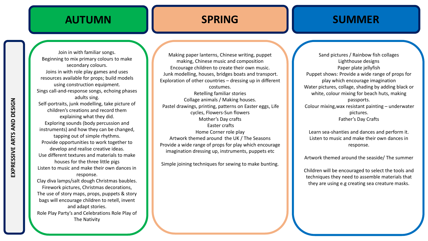### **SPRING SUMMER**

Join in with familiar songs. Beginning to mix primary colours to make secondary colours. Joins in with role play games and uses resources available for props; build models using construction equipment. Sings call-and-response songs, echoing phases adults sing. Self-portraits, junk modelling, take picture of children's creations and record them explaining what they did. Exploring sounds (body percussion and instruments) and how they can be changed, tapping out of simple rhythms. Provide opportunities to work together to develop and realise creative ideas. Use different textures and materials to make houses for the three little pigs Listen to music and make their own dances in response. Clay diva lamps/salt dough Christmas baubles. Firework pictures, Christmas decorations, The use of story maps, props, puppets & story bags will encourage children to retell, invent and adapt stories. Role Play Party's and Celebrations Role Play of The Nativity

Making paper lanterns, Chinese writing, puppet making, Chinese music and composition Encourage children to create their own music. Junk modelling, houses, bridges boats and transport. Exploration of other countries – dressing up in different costumes. Retelling familiar stories Collage animals / Making houses. Pastel drawings, printing, patterns on Easter eggs, Life cycles, Flowers-Sun flowers Mother's Day crafts Easter crafts Home Corner role play Artwork themed around the UK / The Seasons Provide a wide range of props for play which encourage imagination dressing up, instruments, puppets etc

Simple joining techniques for sewing to make bunting.

Sand pictures / Rainbow fish collages Lighthouse designs Paper plate jellyfish Puppet shows: Provide a wide range of props for play which encourage imagination Water pictures, collage, shading by adding black or white, colour mixing for beach huts, making passports. Colour mixing,wax resistant painting – underwater pictures. Father's Day Crafts

Learn sea-shanties and dances and perform it. Listen to music and make their own dances in response.

Artwork themed around the seaside/ The summer

Children will be encouraged to select the tools and techniques they need to assemble materials that they are using e.g creating sea creature masks.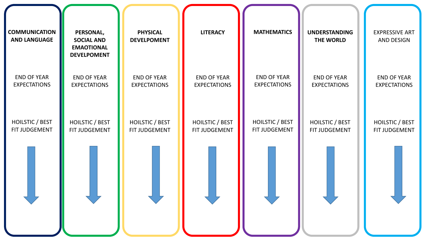| <b>COMMUNICATION</b><br><b>AND LANGUAGE</b> | PERSONAL,<br><b>SOCIAL AND</b><br><b>EMAOTIONAL</b><br><b>DEVELPOMENT</b> | <b>PHYSICAL</b><br><b>DEVELPOMENT</b> | <b>LITERACY</b>        | <b>MATHEMATICS</b>     | <b>UNDERSTANDING</b><br>THE WORLD | <b>EXPRESSIVE ART</b><br><b>AND DESIGN</b> |
|---------------------------------------------|---------------------------------------------------------------------------|---------------------------------------|------------------------|------------------------|-----------------------------------|--------------------------------------------|
| <b>END OF YEAR</b>                          | <b>END OF YEAR</b>                                                        | <b>END OF YEAR</b>                    | <b>END OF YEAR</b>     | <b>END OF YEAR</b>     | <b>END OF YEAR</b>                | <b>END OF YEAR</b>                         |
| <b>EXPECTATIONS</b>                         | <b>EXPECTATIONS</b>                                                       | <b>EXPECTATIONS</b>                   | <b>EXPECTATIONS</b>    | <b>EXPECTATIONS</b>    | <b>EXPECTATIONS</b>               | <b>EXPECTATIONS</b>                        |
| <b>HOILSTIC / BEST</b>                      | HOILSTIC / BEST                                                           | HOILSTIC / BEST                       | <b>HOILSTIC / BEST</b> | <b>HOILSTIC / BEST</b> | HOILSTIC / BEST                   | HOILSTIC / BEST                            |
| FIT JUDGEMENT                               | FIT JUDGEMENT                                                             | FIT JUDGEMENT                         | FIT JUDGEMENT          | FIT JUDGEMENT          | FIT JUDGEMENT                     | FIT JUDGEMENT                              |
|                                             |                                                                           |                                       |                        |                        |                                   |                                            |